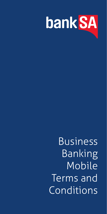

Business Banking Mobile Terms and **Conditions**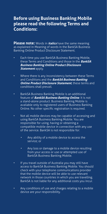## **Before using Business Banking Mobile please read the following Terms and Conditions:**

**Please note:** Words in **italics** have the same meaning as explained in Meaning of words in the BankSA Business Banking Online Product Disclosure Statement.

- Each time you use BankSA Business Banking Mobile, these Terms and Conditions and those in the **BankSA Business Banking Online Product Disclosure**  *Statement* apply.
- Where there is any inconsistency between these Terms and Conditions and the **BankSA Business Banking Online Product Disclosure Statement**, these terms and conditions shall prevail.
- BankSA Business Banking Mobile is an additional feature of **BankSA Business Banking Online**. It is not a stand-alone product. Business Banking Mobile is available only to registered users of Business Banking Online. No other specific registration is required.
- Not all mobile devices may be capable of accessing and using BankSA Business Banking Mobile. You are responsible for using, having or obtaining a compatible mobile device in connection with any use of the service. BankSA is not responsible for:
	- Any ability of a mobile device to access the service; or
	- Any loss or damage to a mobile device resulting from your access or use or attempted use of BankSA Business Banking Mobile.
- If you travel outside of Australia you may still have access to BankSA Business Banking Mobile. You should check with your telephone communications provider that the mobile device will be able to use relevant network in those countries in which you are travelling. BankSA is not liable for any additional costs you incur.
- Any conditions of use and charges relating to a mobile device are your responsibility.